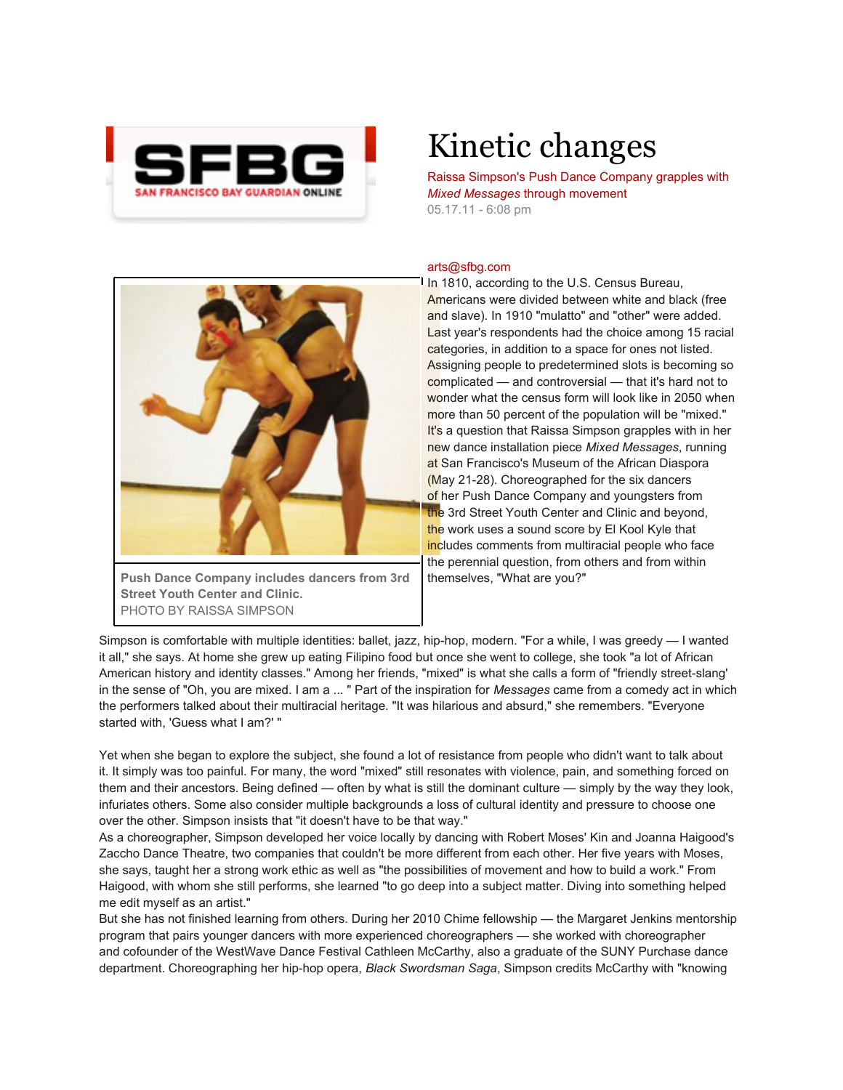

## Kinetic changes

Raissa Simpson's Push Dance Company grapples with *Mixed Messages* through movement 05.17.11 - 6:08 pm

## arts@sfbg.com



**Push Dance Company includes dancers from 3rd Street Youth Center and Clinic.** PHOTO BY RAISSA SIMPSON

In 1810, according to the U.S. Census Bureau, Americans were divided between white and black (free and slave). In 1910 "mulatto" and "other" were added. Last year's respondents had the choice among 15 racial categories, in addition to a space for ones not listed. Assigning people to predetermined slots is becoming so complicated — and controversial — that it's hard not to wonder what the census form will look like in 2050 when more than 50 percent of the population will be "mixed." It's a question that Raissa Simpson grapples with in her new dance installation piece *Mixed Messages*, running at San Francisco's Museum of the African Diaspora (May 21-28). Choreographed for the six dancers of her Push Dance Company and youngsters from the 3rd Street Youth Center and Clinic and beyond, the work uses a sound score by El Kool Kyle that includes comments from multiracial people who face the perennial question, from others and from within themselves, "What are you?"

Simpson is comfortable with multiple identities: ballet, jazz, hip-hop, modern. "For a while, I was greedy — I wanted it all," she says. At home she grew up eating Filipino food but once she went to college, she took "a lot of African American history and identity classes." Among her friends, "mixed" is what she calls a form of "friendly street-slang' in the sense of "Oh, you are mixed. I am a ... " Part of the inspiration for *Messages* came from a comedy act in which the performers talked about their multiracial heritage. "It was hilarious and absurd," she remembers. "Everyone started with, 'Guess what I am?' "

Yet when she began to explore the subject, she found a lot of resistance from people who didn't want to talk about it. It simply was too painful. For many, the word "mixed" still resonates with violence, pain, and something forced on them and their ancestors. Being defined — often by what is still the dominant culture — simply by the way they look, infuriates others. Some also consider multiple backgrounds a loss of cultural identity and pressure to choose one over the other. Simpson insists that "it doesn't have to be that way."

As a choreographer, Simpson developed her voice locally by dancing with Robert Moses' Kin and Joanna Haigood's Zaccho Dance Theatre, two companies that couldn't be more different from each other. Her five years with Moses, she says, taught her a strong work ethic as well as "the possibilities of movement and how to build a work." From Haigood, with whom she still performs, she learned "to go deep into a subject matter. Diving into something helped me edit myself as an artist."

But she has not finished learning from others. During her 2010 Chime fellowship — the Margaret Jenkins mentorship program that pairs younger dancers with more experienced choreographers — she worked with choreographer and cofounder of the WestWave Dance Festival Cathleen McCarthy, also a graduate of the SUNY Purchase dance department. Choreographing her hip-hop opera, *Black Swordsman Saga*, Simpson credits McCarthy with "knowing